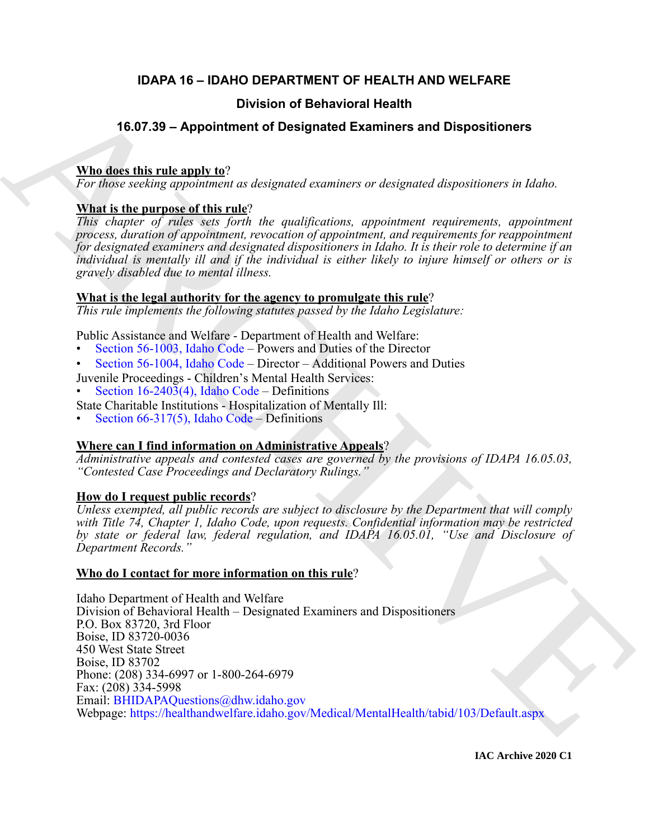# **IDAPA 16 – IDAHO DEPARTMENT OF HEALTH AND WELFARE**

# **Division of Behavioral Health**

# **16.07.39 – Appointment of Designated Examiners and Dispositioners**

# **Who does this rule apply to**?

*For those seeking appointment as designated examiners or designated dispositioners in Idaho.*

# **What is the purpose of this rule**?

*This chapter of rules sets forth the qualifications, appointment requirements, appointment process, duration of appointment, revocation of appointment, and requirements for reappointment for designated examiners and designated dispositioners in Idaho. It is their role to determine if an individual is mentally ill and if the individual is either likely to injure himself or others or is gravely disabled due to mental illness.*

# **What is the legal authority for the agency to promulgate this rule**?

*This rule implements the following statutes passed by the Idaho Legislature:*

Public Assistance and Welfare - Department of Health and Welfare:

- Section 56-1003, Idaho Code Powers and Duties of the Director
- Section 56-1004, Idaho Code Director Additional Powers and Duties

Juvenile Proceedings - Children's Mental Health Services: • Section 16-2403(4), Idaho Code – Definitions

- 
- State Charitable Institutions Hospitalization of Mentally Ill:
- Section 66-317(5), Idaho Code Definitions

# **Where can I find information on Administrative Appeals**?

*Administrative appeals and contested cases are governed by the provisions of IDAPA 16.05.03, "Contested Case Proceedings and Declaratory Rulings."*

# **How do I request public records**?

*Unless exempted, all public records are subject to disclosure by the Department that will comply with Title 74, Chapter 1, Idaho Code, upon requests. Confidential information may be restricted by state or federal law, federal regulation, and IDAPA 16.05.01, "Use and Disclosure of Department Records."*

# **Who do I contact for more information on this rule**?

**16.07.39 - Application of Behavioral Health<br>
16.07.39 - Application of Designated [E](https://healthandwelfare.idaho.gov/Medical/MentalHealth/tabid/103/Default.aspx)xaminers and Dispositioners<br>
While disc this rule and two sections are discussed attacking and the proposition of the bottomagnetic condi** Idaho Department of Health and Welfare Division of Behavioral Health – Designated Examiners and Dispositioners P.O. Box 83720, 3rd Floor Boise, ID 83720-0036 450 West State Street Boise, ID 83702 Phone: (208) 334-6997 or 1-800-264-6979 Fax: (208) 334-5998 Email: BHIDAPAQuestions@dhw.idaho.gov Webpage: https://healthandwelfare.idaho.gov/Medical/MentalHealth/tabid/103/Default.aspx

**IAC Archive 2020 C1**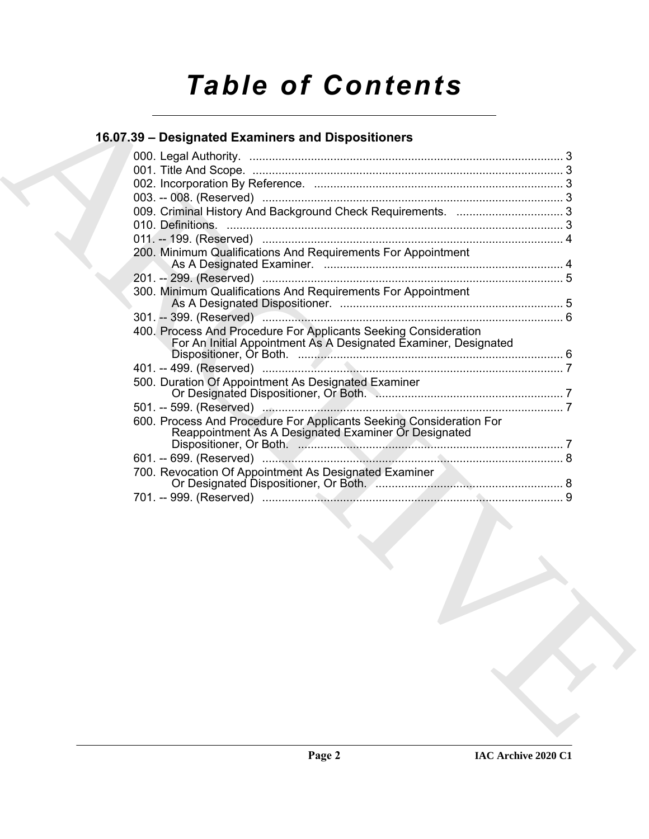# *Table of Contents*

# **16.07.39 – Designated Examiners and Dispositioners**

| 200. Minimum Qualifications And Requirements For Appointment                                                                       |  |
|------------------------------------------------------------------------------------------------------------------------------------|--|
|                                                                                                                                    |  |
|                                                                                                                                    |  |
| 300. Minimum Qualifications And Requirements For Appointment                                                                       |  |
|                                                                                                                                    |  |
| 400. Process And Procedure For Applicants Seeking Consideration<br>For An Initial Appointment As A Designated Examiner, Designated |  |
|                                                                                                                                    |  |
|                                                                                                                                    |  |
| 500. Duration Of Appointment As Designated Examiner                                                                                |  |
|                                                                                                                                    |  |
| 600. Process And Procedure For Applicants Seeking Consideration For<br>Reappointment As A Designated Examiner Or Designated        |  |
|                                                                                                                                    |  |
|                                                                                                                                    |  |
| 700. Revocation Of Appointment As Designated Examiner                                                                              |  |
|                                                                                                                                    |  |
|                                                                                                                                    |  |
|                                                                                                                                    |  |
|                                                                                                                                    |  |
|                                                                                                                                    |  |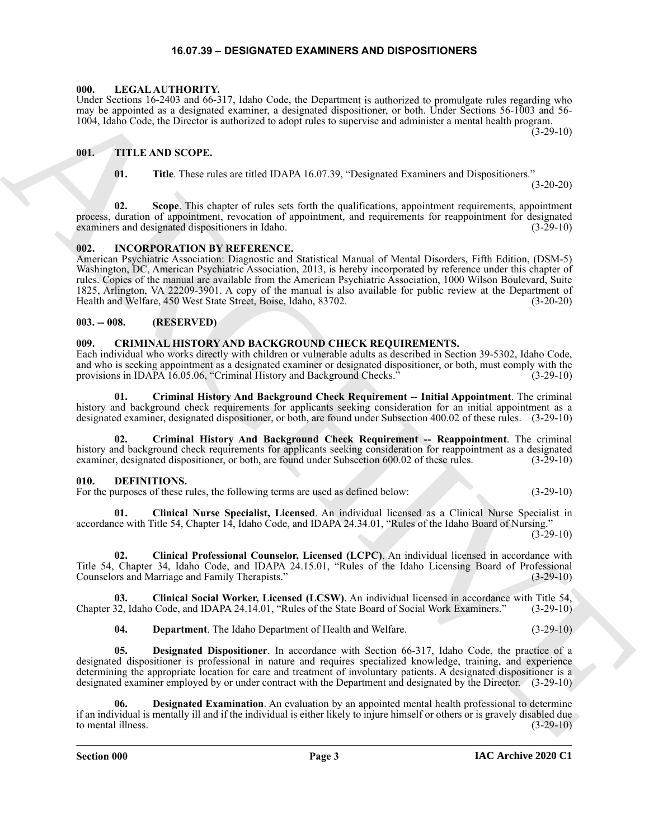#### **16.07.39 – DESIGNATED EXAMINERS AND DISPOSITIONERS**

#### <span id="page-2-16"></span><span id="page-2-1"></span><span id="page-2-0"></span>**000. LEGAL AUTHORITY.**

Under Sections 16-2403 and 66-317, Idaho Code, the Department is authorized to promulgate rules regarding who may be appointed as a designated examiner, a designated dispositioner, or both. Under Sections 56-1003 and 56- 1004, Idaho Code, the Director is authorized to adopt rules to supervise and administer a mental health program.

 $(3-29-10)$ 

### <span id="page-2-2"></span>**001. TITLE AND SCOPE.**

<span id="page-2-17"></span>

**01. Title**. These rules are titled IDAPA 16.07.39, "Designated Examiners and Dispositioners."

(3-20-20)

**02. Scope**. This chapter of rules sets forth the qualifications, appointment requirements, appointment process, duration of appointment, revocation of appointment, and requirements for reappointment for designated examiners and designated dispositioners in Idaho. (3-29-10) examiners and designated dispositioners in Idaho.

#### <span id="page-2-15"></span><span id="page-2-3"></span>**002. INCORPORATION BY REFERENCE.**

Land, Societies (1930) and 66-511, labor Cost, the Dependment in methods of parameters (1931) and 1931. The state of the state of the state of the state of the state of the state of the state of the state of the state of American Psychiatric Association: Diagnostic and Statistical Manual of Mental Disorders, Fifth Edition, (DSM-5) Washington, DC, American Psychiatric Association, 2013, is hereby incorporated by reference under this chapter of rules. Copies of the manual are available from the American Psychiatric Association, 1000 Wilson Boulevard, Suite 1825, Arlington, VA 22209-3901. A copy of the manual is also available for public review at the Department of Health and Welfare, 450 West State Street, Boise, Idaho, 83702. (3-20-20)

#### <span id="page-2-4"></span>**003. -- 008. (RESERVED)**

#### <span id="page-2-7"></span><span id="page-2-5"></span>**009. CRIMINAL HISTORY AND BACKGROUND CHECK REQUIREMENTS.**

Each individual who works directly with children or vulnerable adults as described in Section 39-5302, Idaho Code, and who is seeking appointment as a designated examiner or designated dispositioner, or both, must comply with the provisions in IDAPA 16.05.06, "Criminal History and Background Checks." (3-29-10)

**01. Criminal History And Background Check Requirement -- Initial Appointment**. The criminal history and background check requirements for applicants seeking consideration for an initial appointment as a designated examiner, designated dispositioner, or both, are found under Subsection 400.02 of these rules. (3-29-10)

**02. Criminal History And Background Check Requirement -- Reappointment**. The criminal history and background check requirements for applicants seeking consideration for reappointment as a designated examiner, designated dispositioner, or both, are found under Subsection 600.02 of these rules. (3-29-10)

### <span id="page-2-8"></span><span id="page-2-6"></span>**010. DEFINITIONS.**

For the purposes of these rules, the following terms are used as defined below: (3-29-10)

<span id="page-2-9"></span>**01. Clinical Nurse Specialist, Licensed**. An individual licensed as a Clinical Nurse Specialist in accordance with Title 54, Chapter 14, Idaho Code, and IDAPA 24.34.01, "Rules of the Idaho Board of Nursing."  $(3-29-10)$ 

<span id="page-2-10"></span>**02. Clinical Professional Counselor, Licensed (LCPC)**. An individual licensed in accordance with Title 54, Chapter 34, Idaho Code, and IDAPA 24.15.01, "Rules of the Idaho Licensing Board of Professional Counselors and Marriage and Family Therapists." (3-29-10)

**03. Clinical Social Worker, Licensed (LCSW)**. An individual licensed in accordance with Title 54, Chapter 32, Idaho Code, and IDAPA 24.14.01, "Rules of the State Board of Social Work Examiners." (3-29-10)

<span id="page-2-14"></span><span id="page-2-13"></span><span id="page-2-12"></span><span id="page-2-11"></span>**04. Department**. The Idaho Department of Health and Welfare. (3-29-10)

**05. Designated Dispositioner**. In accordance with Section 66-317, Idaho Code, the practice of a designated dispositioner is professional in nature and requires specialized knowledge, training, and experience determining the appropriate location for care and treatment of involuntary patients. A designated dispositioner is a designated examiner employed by or under contract with the Department and designated by the Director. (3-29-10)

**Designated Examination**. An evaluation by an appointed mental health professional to determine if an individual is mentally ill and if the individual is either likely to injure himself or others or is gravely disabled due to mental illness.  $(3-29-10)$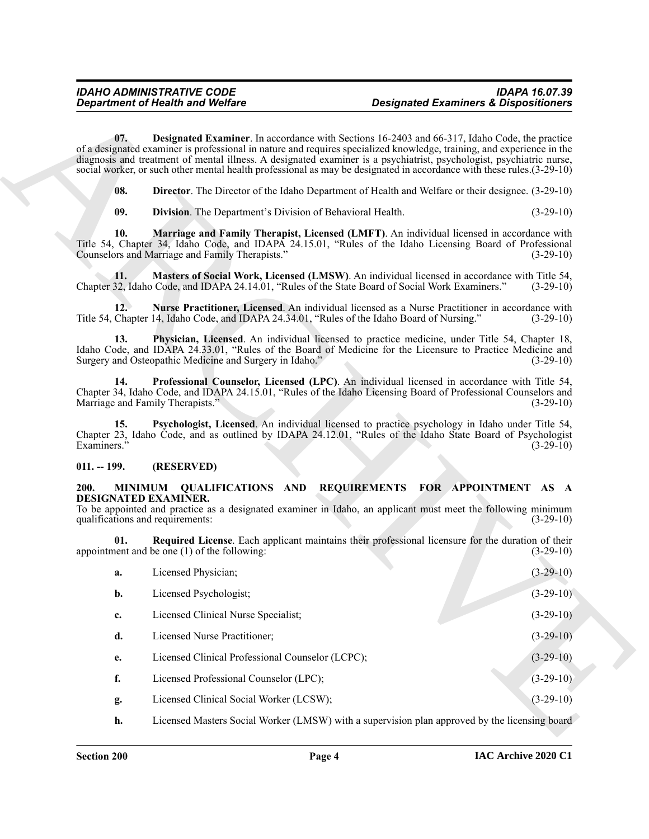### <span id="page-3-10"></span><span id="page-3-9"></span><span id="page-3-8"></span><span id="page-3-7"></span><span id="page-3-6"></span><span id="page-3-0"></span>**011. -- 199. (RESERVED)**

#### <span id="page-3-12"></span><span id="page-3-11"></span><span id="page-3-1"></span>**200. MINIMUM QUALIFICATIONS AND REQUIREMENTS FOR APPOINTMENT AS A DESIGNATED EXAMINER.**

<span id="page-3-5"></span><span id="page-3-4"></span><span id="page-3-3"></span><span id="page-3-2"></span>

|                                                                                    | <b>Department of Health and Welfare</b>                                                                                                                                                                                                                                                                                                                                                                                                                                          | <b>Designated Examiners &amp; Dispositioners</b> |             |
|------------------------------------------------------------------------------------|----------------------------------------------------------------------------------------------------------------------------------------------------------------------------------------------------------------------------------------------------------------------------------------------------------------------------------------------------------------------------------------------------------------------------------------------------------------------------------|--------------------------------------------------|-------------|
| 07.                                                                                | <b>Designated Examiner.</b> In accordance with Sections 16-2403 and 66-317, Idaho Code, the practice<br>of a designated examiner is professional in nature and requires specialized knowledge, training, and experience in the<br>diagnosis and treatment of mental illness. A designated examiner is a psychiatrist, psychologist, psychiatric nurse,<br>social worker, or such other mental health professional as may be designated in accordance with these rules. (3-29-10) |                                                  |             |
| 08.                                                                                | <b>Director.</b> The Director of the Idaho Department of Health and Welfare or their designee. (3-29-10)                                                                                                                                                                                                                                                                                                                                                                         |                                                  |             |
| 09.                                                                                | <b>Division.</b> The Department's Division of Behavioral Health.                                                                                                                                                                                                                                                                                                                                                                                                                 |                                                  | $(3-29-10)$ |
| 10.                                                                                | Marriage and Family Therapist, Licensed (LMFT). An individual licensed in accordance with<br>Title 54, Chapter 34, Idaho Code, and IDAPA 24.15.01, "Rules of the Idaho Licensing Board of Professional<br>Counselors and Marriage and Family Therapists."                                                                                                                                                                                                                        |                                                  | $(3-29-10)$ |
| 11.                                                                                | Masters of Social Work, Licensed (LMSW). An individual licensed in accordance with Title 54,<br>Chapter 32, Idaho Code, and IDAPA 24.14.01, "Rules of the State Board of Social Work Examiners."                                                                                                                                                                                                                                                                                 |                                                  | $(3-29-10)$ |
| 12.                                                                                | Nurse Practitioner, Licensed. An individual licensed as a Nurse Practitioner in accordance with<br>Title 54, Chapter 14, Idaho Code, and IDAPA 24.34.01, "Rules of the Idaho Board of Nursing."                                                                                                                                                                                                                                                                                  |                                                  | $(3-29-10)$ |
| 13.                                                                                | Physician, Licensed. An individual licensed to practice medicine, under Title 54, Chapter 18,<br>Idaho Code, and IDAPA 24.33.01, "Rules of the Board of Medicine for the Licensure to Practice Medicine and<br>Surgery and Osteopathic Medicine and Surgery in Idaho."                                                                                                                                                                                                           |                                                  | $(3-29-10)$ |
| 14.                                                                                | Professional Counselor, Licensed (LPC). An individual licensed in accordance with Title 54,<br>Chapter 34, Idaho Code, and IDAPA 24.15.01, "Rules of the Idaho Licensing Board of Professional Counselors and<br>Marriage and Family Therapists."                                                                                                                                                                                                                                |                                                  | $(3-29-10)$ |
| 15.<br>Examiners."                                                                 | Psychologist, Licensed. An individual licensed to practice psychology in Idaho under Title 54,<br>Chapter 23, Idaho Code, and as outlined by IDAPA 24.12.01, "Rules of the Idaho State Board of Psychologist                                                                                                                                                                                                                                                                     |                                                  | $(3-29-10)$ |
| $011. - 199.$                                                                      | (RESERVED)                                                                                                                                                                                                                                                                                                                                                                                                                                                                       |                                                  |             |
| 200.<br>MINIMUM<br><b>DESIGNATED EXAMINER.</b><br>qualifications and requirements: | <b>QUALIFICATIONS AND</b><br>To be appointed and practice as a designated examiner in Idaho, an applicant must meet the following minimum                                                                                                                                                                                                                                                                                                                                        | REQUIREMENTS FOR APPOINTMENT AS A                | $(3-29-10)$ |
| 01.                                                                                | Required License. Each applicant maintains their professional licensure for the duration of their<br>appointment and be one $(1)$ of the following:                                                                                                                                                                                                                                                                                                                              |                                                  | $(3-29-10)$ |
| a.                                                                                 | Licensed Physician;                                                                                                                                                                                                                                                                                                                                                                                                                                                              |                                                  | $(3-29-10)$ |
| b.                                                                                 | Licensed Psychologist;                                                                                                                                                                                                                                                                                                                                                                                                                                                           |                                                  | $(3-29-10)$ |
| c.                                                                                 | Licensed Clinical Nurse Specialist;                                                                                                                                                                                                                                                                                                                                                                                                                                              |                                                  | $(3-29-10)$ |
| d.                                                                                 | Licensed Nurse Practitioner;                                                                                                                                                                                                                                                                                                                                                                                                                                                     |                                                  | $(3-29-10)$ |
|                                                                                    |                                                                                                                                                                                                                                                                                                                                                                                                                                                                                  |                                                  | $(3-29-10)$ |
| e.                                                                                 | Licensed Clinical Professional Counselor (LCPC);                                                                                                                                                                                                                                                                                                                                                                                                                                 |                                                  |             |
| f.                                                                                 | Licensed Professional Counselor (LPC);                                                                                                                                                                                                                                                                                                                                                                                                                                           |                                                  | $(3-29-10)$ |
| g.                                                                                 | Licensed Clinical Social Worker (LCSW);                                                                                                                                                                                                                                                                                                                                                                                                                                          |                                                  | $(3-29-10)$ |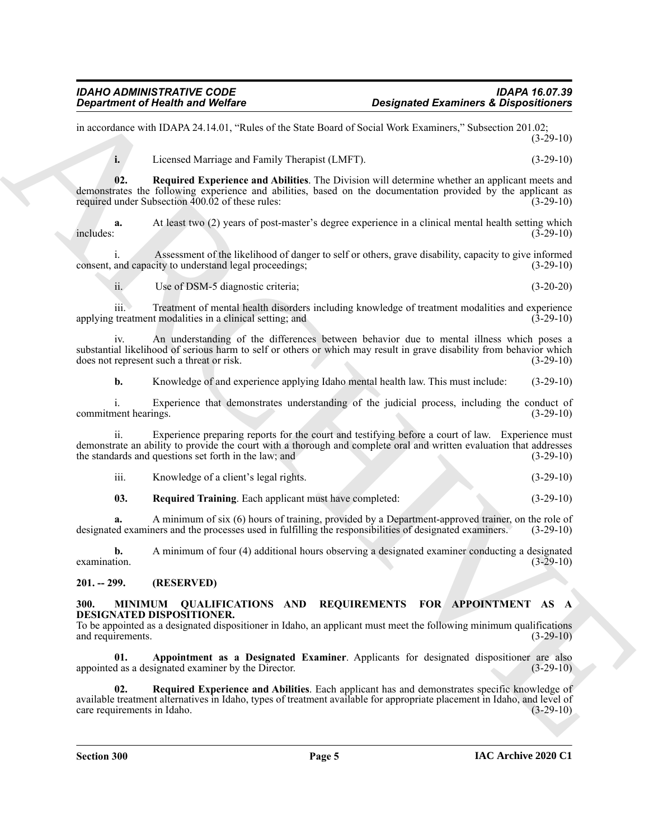in accordance with IDAPA 24.14.01, "Rules of the State Board of Social Work Examiners," Subsection 201.02;  $(3-29-10)$ 

<span id="page-4-5"></span>**i.** Licensed Marriage and Family Therapist (LMFT). (3-29-10)

**02. Required Experience and Abilities**. The Division will determine whether an applicant meets and demonstrates the following experience and abilities, based on the documentation provided by the applicant as required under Subsection 400.02 of these rules: (3-29-10)

At least two (2) years of post-master's degree experience in a clinical mental health setting which (3-29-10)  $i$  includes:  $(3-29-10)$ 

i. Assessment of the likelihood of danger to self or others, grave disability, capacity to give informed consent, and capacity to understand legal proceedings; (3-29-10)

ii. Use of DSM-5 diagnostic criteria; (3-20-20)

iii. Treatment of mental health disorders including knowledge of treatment modalities and experience applying treatment modalities in a clinical setting; and (3-29-10)

iv. An understanding of the differences between behavior due to mental illness which poses a substantial likelihood of serious harm to self or others or which may result in grave disability from behavior which does not represent such a threat or risk. (3-29-10) does not represent such a threat or risk.

**b.** Knowledge of and experience applying Idaho mental health law. This must include:  $(3-29-10)$ 

i. Experience that demonstrates understanding of the judicial process, including the conduct of nent hearings. (3-29-10) commitment hearings.

**Expansion of Nicolas Architecture Constraints Constraints Constraints Constraints Constraints Constraints Constraints Constraints Constraints Constraints Constraints Constraints Constraints Constraints Constraints Constr** ii. Experience preparing reports for the court and testifying before a court of law. Experience must demonstrate an ability to provide the court with a thorough and complete oral and written evaluation that addresses the standards and questions set forth in the law; and (3-29-10) (3-29-10)

| $\cdots$<br>Knowledge of a client's legal rights.<br>111. | $(3-29-10)$ |
|-----------------------------------------------------------|-------------|
|-----------------------------------------------------------|-------------|

<span id="page-4-6"></span>**03. Required Training**. Each applicant must have completed: (3-29-10)

**a.** A minimum of six (6) hours of training, provided by a Department-approved trainer, on the role of designated examiners and the processes used in fulfilling the responsibilities of designated examiners. (3-29-10)

**b.** A minimum of four (4) additional hours observing a designated examiner conducting a designated  $\alpha$  examination. (3-29-10)

### <span id="page-4-0"></span>**201. -- 299. (RESERVED)**

#### <span id="page-4-2"></span><span id="page-4-1"></span>**300. MINIMUM QUALIFICATIONS AND REQUIREMENTS FOR APPOINTMENT AS A DESIGNATED DISPOSITIONER.**

To be appointed as a designated dispositioner in Idaho, an applicant must meet the following minimum qualifications and requirements. (3-29-10) and requirements.

<span id="page-4-3"></span>**01. Appointment as a Designated Examiner**. Applicants for designated dispositioner are also appointed as a designated examiner by the Director. (3-29-10)

<span id="page-4-4"></span>**02. Required Experience and Abilities**. Each applicant has and demonstrates specific knowledge of available treatment alternatives in Idaho, types of treatment available for appropriate placement in Idaho, and level of care requirements in Idaho. (3-29-10) care requirements in Idaho.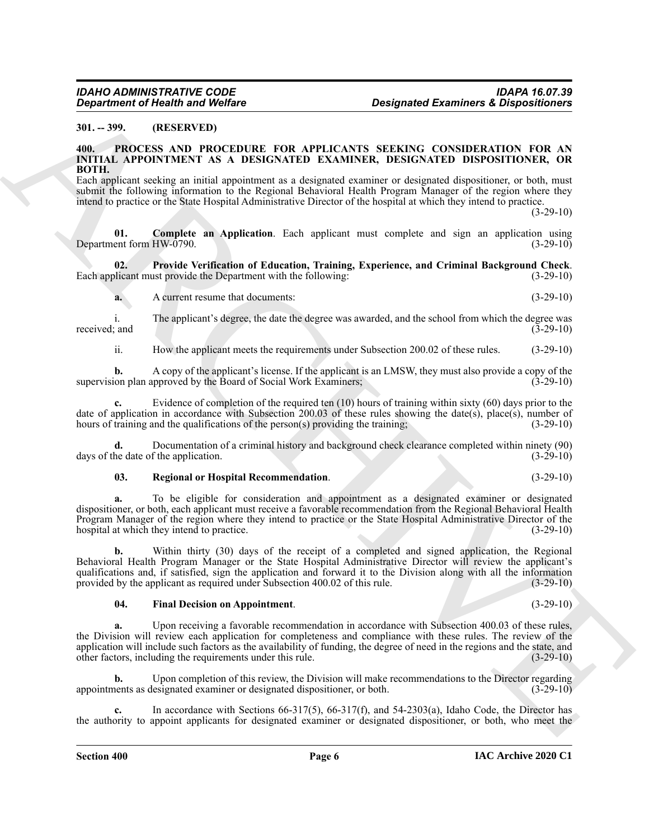#### <span id="page-5-0"></span>**301. -- 399. (RESERVED)**

#### <span id="page-5-2"></span><span id="page-5-1"></span>**400. PROCESS AND PROCEDURE FOR APPLICANTS SEEKING CONSIDERATION FOR AN INITIAL APPOINTMENT AS A DESIGNATED EXAMINER, DESIGNATED DISPOSITIONER, OR BOTH.**

Each applicant seeking an initial appointment as a designated examiner or designated dispositioner, or both, must submit the following information to the Regional Behavioral Health Program Manager of the region where they intend to practice or the State Hospital Administrative Director of the hospital at which they intend to practice.

 $(3-29-10)$ 

<span id="page-5-3"></span>**01. Complete an Application**. Each applicant must complete and sign an application using Department form HW-0790. (3-29-10)

**02. Provide Verification of Education, Training, Experience, and Criminal Background Check**. Each applicant must provide the Department with the following: (3-29-10)

<span id="page-5-5"></span>**a.** A current resume that documents:  $(3-29-10)$ 

i. The applicant's degree, the date the degree was awarded, and the school from which the degree was received; and

ii. How the applicant meets the requirements under Subsection 200.02 of these rules. (3-29-10)

**b.** A copy of the applicant's license. If the applicant is an LMSW, they must also provide a copy of the supervision plan approved by the Board of Social Work Examiners; (3-29-10)

**c.** Evidence of completion of the required ten (10) hours of training within sixty (60) days prior to the date of application in accordance with Subsection 200.03 of these rules showing the date(s), place(s), number of hours of training and the qualifications of the person(s) providing the training;  $(3-29-10)$ 

**d.** Documentation of a criminal history and background check clearance completed within ninety (90) he date of the application. (3-29-10) days of the date of the application.

#### <span id="page-5-6"></span>**03. Regional or Hospital Recommendation**. (3-29-10)

**a.** To be eligible for consideration and appointment as a designated examiner or designated dispositioner, or both, each applicant must receive a favorable recommendation from the Regional Behavioral Health Program Manager of the region where they intend to practice or the State Hospital Administrative Director of the hospital at which they intend to practice. (3-29-10)  $(3-29-10)$ 

Geographes of the shall wave Wolfers<br>
30. The main of Wolfers (Control in the shall can be a compared Examiner & Dispositioners<br>
31. The main of the shall be a comparison of the shall can be a comparison of the shall can **b.** Within thirty (30) days of the receipt of a completed and signed application, the Regional Behavioral Health Program Manager or the State Hospital Administrative Director will review the applicant's qualifications and, if satisfied, sign the application and forward it to the Division along with all the information provided by the applicant as required under Subsection 400.02 of this rule. (3-29-10) provided by the applicant as required under Subsection 400.02 of this rule.

#### <span id="page-5-4"></span>**04. Final Decision on Appointment**. (3-29-10)

**a.** Upon receiving a favorable recommendation in accordance with Subsection 400.03 of these rules, the Division will review each application for completeness and compliance with these rules. The review of the application will include such factors as the availability of funding, the degree of need in the regions and the state, and other factors, including the requirements under this rule. (3-29-10)

**b.** Upon completion of this review, the Division will make recommendations to the Director regarding appointments as designated examiner or designated dispositioner, or both. (3-29-10)

**c.** In accordance with Sections 66-317(5), 66-317(f), and 54-2303(a), Idaho Code, the Director has the authority to appoint applicants for designated examiner or designated dispositioner, or both, who meet the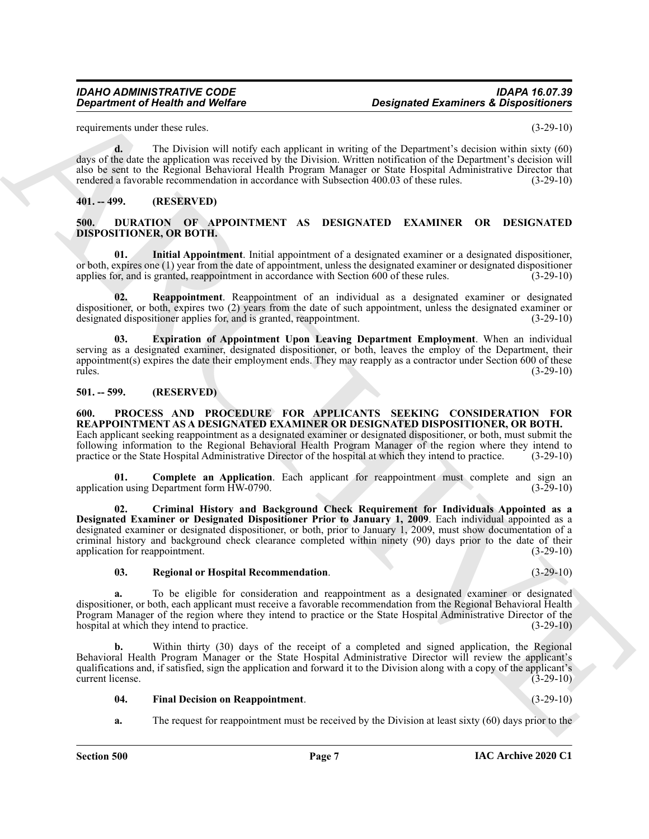requirements under these rules. (3-29-10)

**d.** The Division will notify each applicant in writing of the Department's decision within sixty (60) days of the date the application was received by the Division. Written notification of the Department's decision will also be sent to the Regional Behavioral Health Program Manager or State Hospital Administrative Director that rendered a favorable recommendation in accordance with Subsection 400.03 of these rules. (3-29-10)

#### <span id="page-6-0"></span>**401. -- 499. (RESERVED)**

#### <span id="page-6-4"></span><span id="page-6-1"></span>**500. DURATION OF APPOINTMENT AS DESIGNATED EXAMINER OR DESIGNATED DISPOSITIONER, OR BOTH.**

<span id="page-6-6"></span>**01. Initial Appointment**. Initial appointment of a designated examiner or a designated dispositioner, or both, expires one (1) year from the date of appointment, unless the designated examiner or designated dispositioner applies for, and is granted, reappointment in accordance with Section 600 of these rules. (3-29-10)

<span id="page-6-7"></span>**02. Reappointment**. Reappointment of an individual as a designated examiner or designated dispositioner, or both, expires two (2) years from the date of such appointment, unless the designated examiner or designated dispositioner applies for, and is granted, reappointment. (3-29-10)

<span id="page-6-5"></span>**03. Expiration of Appointment Upon Leaving Department Employment**. When an individual serving as a designated examiner, designated dispositioner, or both, leaves the employ of the Department, their appointment(s) expires the date their employment ends. They may reapply as a contractor under Section 600 of these rules. (3-29-10)

#### <span id="page-6-8"></span><span id="page-6-3"></span><span id="page-6-2"></span>**501. -- 599. (RESERVED)**

ARCHIVE **600. PROCESS AND PROCEDURE FOR APPLICANTS SEEKING CONSIDERATION FOR REAPPOINTMENT AS A DESIGNATED EXAMINER OR DESIGNATED DISPOSITIONER, OR BOTH.** Each applicant seeking reappointment as a designated examiner or designated dispositioner, or both, must submit the following information to the Regional Behavioral Health Program Manager of the region where they intend to practice or the State Hospital Administrative Director of the hospital at which they intend to practice. (3-29-10)

<span id="page-6-9"></span>**01. Complete an Application**. Each applicant for reappointment must complete and sign an on using Department form HW-0790. (3-29-10) application using Department form  $\text{H}W-0790$ .

<span id="page-6-10"></span>**02. Criminal History and Background Check Requirement for Individuals Appointed as a Designated Examiner or Designated Dispositioner Prior to January 1, 2009**. Each individual appointed as a designated examiner or designated dispositioner, or both, prior to January 1, 2009, must show documentation of a criminal history and background check clearance completed within ninety (90) days prior to the date of their application for reappointment. (3-29-10)

#### <span id="page-6-12"></span>**03. Regional or Hospital Recommendation**. (3-29-10)

**a.** To be eligible for consideration and reappointment as a designated examiner or designated dispositioner, or both, each applicant must receive a favorable recommendation from the Regional Behavioral Health Program Manager of the region where they intend to practice or the State Hospital Administrative Director of the hospital at which they intend to practice. (3-29-10)

**b.** Within thirty (30) days of the receipt of a completed and signed application, the Regional Behavioral Health Program Manager or the State Hospital Administrative Director will review the applicant's qualifications and, if satisfied, sign the application and forward it to the Division along with a copy of the applicant's current license. (3-29-10)

#### <span id="page-6-11"></span>**04. Final Decision on Reappointment**. (3-29-10)

**a.** The request for reappointment must be received by the Division at least sixty (60) days prior to the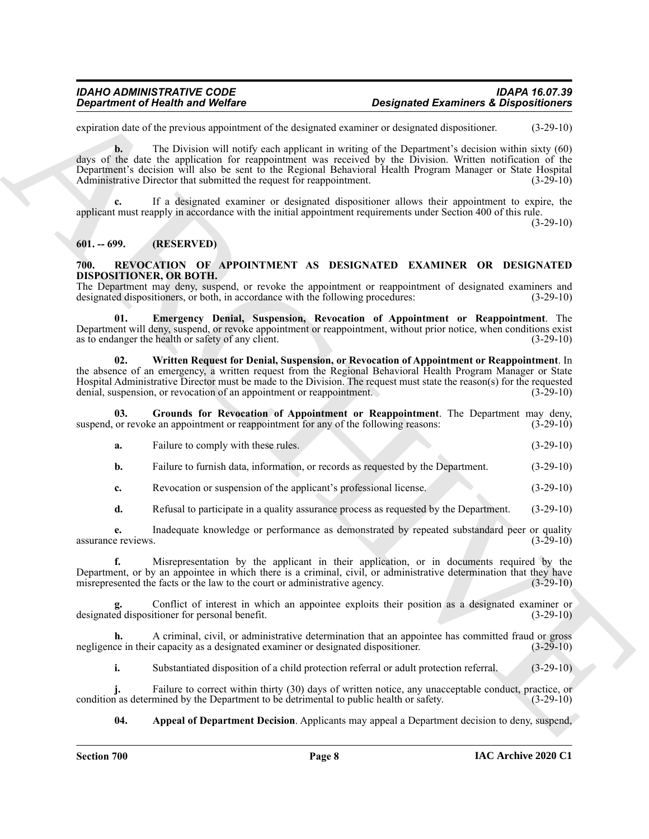expiration date of the previous appointment of the designated examiner or designated dispositioner. (3-29-10)

**Consideration of New York Proposition Considered Examines Christian Constrainers (Example 10.22-10)**<br>
Solution the second of the second of the second of the second of the second of the second of the second of the second **b.** The Division will notify each applicant in writing of the Department's decision within sixty (60) days of the date the application for reappointment was received by the Division. Written notification of the Department's decision will also be sent to the Regional Behavioral Health Program Manager or State Hospital Administrative Director that submitted the request for reappointment. (3-29-10)

**c.** If a designated examiner or designated dispositioner allows their appointment to expire, the applicant must reapply in accordance with the initial appointment requirements under Section 400 of this rule.

 $(3-29-10)$ 

### <span id="page-7-0"></span>**601. -- 699. (RESERVED)**

#### <span id="page-7-2"></span><span id="page-7-1"></span>**700. REVOCATION OF APPOINTMENT AS DESIGNATED EXAMINER OR DESIGNATED DISPOSITIONER, OR BOTH.**

The Department may deny, suspend, or revoke the appointment or reappointment of designated examiners and designated dispositioners, or both, in accordance with the following procedures: (3-29-10) designated dispositioners, or both, in accordance with the following procedures:

<span id="page-7-4"></span>**Emergency Denial, Suspension, Revocation of Appointment or Reappointment**. The Department will deny, suspend, or revoke appointment or reappointment, without prior notice, when conditions exist as to endanger the health or safety of any client. (3-29-10)

<span id="page-7-6"></span>**02. Written Request for Denial, Suspension, or Revocation of Appointment or Reappointment**. In the absence of an emergency, a written request from the Regional Behavioral Health Program Manager or State Hospital Administrative Director must be made to the Division. The request must state the reason(s) for the requested denial, suspension, or revocation of an appointment or reappointment. (3-29-10) denial, suspension, or revocation of an appointment or reappointment.

**03.** Grounds for Revocation of Appointment or Reappointment. The Department may deny, or revoke an appointment or reappointment for any of the following reasons: (3-29-10) suspend, or revoke an appointment or reappointment for any of the following reasons:

<span id="page-7-5"></span>

| Failure to comply with these rules.<br>а. | $(3-29-10)$ |
|-------------------------------------------|-------------|
|-------------------------------------------|-------------|

**b.** Failure to furnish data, information, or records as requested by the Department. (3-29-10)

**c.** Revocation or suspension of the applicant's professional license. (3-29-10)

**d.** Refusal to participate in a quality assurance process as requested by the Department. (3-29-10)

**e.** Inadequate knowledge or performance as demonstrated by repeated substandard peer or quality e reviews.  $(3-29-10)$ assurance reviews.

**f.** Misrepresentation by the applicant in their application, or in documents required by the Department, or by an appointee in which there is a criminal, civil, or administrative determination that they have misrepresented the facts or the law to the court or administrative agency. (3-29-10) misrepresented the facts or the law to the court or administrative agency.

**g.** Conflict of interest in which an appointee exploits their position as a designated examiner or designated dispositioner for personal benefit. (3-29-10)

**h.** A criminal, civil, or administrative determination that an appointee has committed fraud or gross ce in their capacity as a designated examiner or designated dispositioner. (3-29-10) negligence in their capacity as a designated examiner or designated dispositioner.

**i.** Substantiated disposition of a child protection referral or adult protection referral. (3-29-10)

**j.** Failure to correct within thirty (30) days of written notice, any unacceptable conduct, practice, or as determined by the Department to be detrimental to public health or safety.  $(3-29-10)$ condition as determined by the Department to be detrimental to public health or safety.

<span id="page-7-3"></span>**04. Appeal of Department Decision**. Applicants may appeal a Department decision to deny, suspend,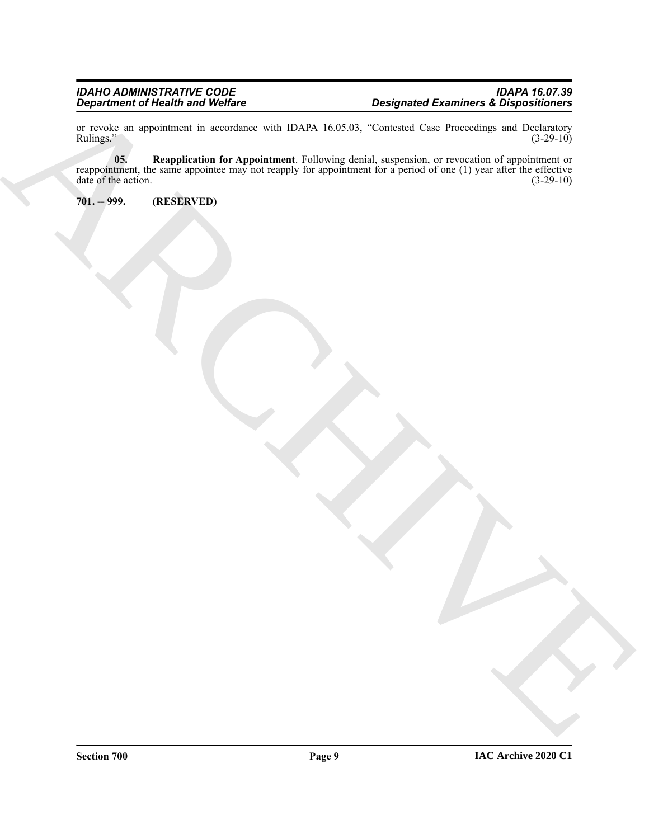<span id="page-8-1"></span>or revoke an appointment in accordance with IDAPA 16.05.03, "Contested Case Proceedings and Declaratory Rulings." (3-29-10) Rulings." (3-29-10)

Despite de la contratte de la contratte de la Christian de la Christian de la Christian de la Christian de la<br>
Romanie de la contratte de la Christian de la Christian de la Christian de la Christian de la Christian de la<br> **05. Reapplication for Appointment**. Following denial, suspension, or revocation of appointment or reappointment, the same appointee may not reapply for appointment for a period of one (1) year after the effective date of the action.  $(3-29-10)$ 

<span id="page-8-0"></span>**701. -- 999. (RESERVED)**